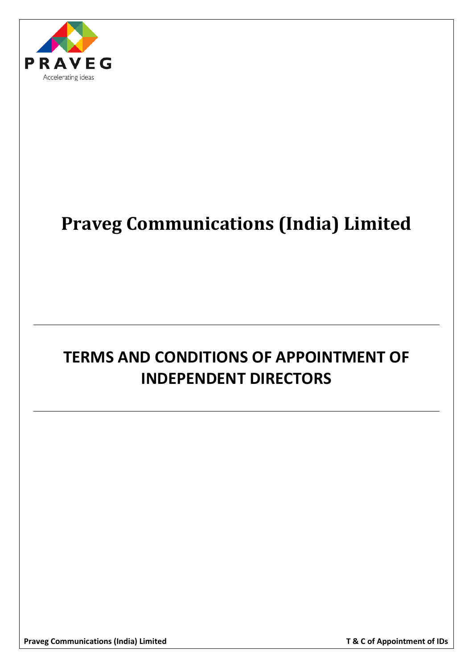

# **Praveg Communications (India) Limited**

# **TERMS AND CONDITIONS OF APPOINTMENT OF INDEPENDENT DIRECTORS**

Praveg Communications (India) Limited **T** & C of Appointment of IDs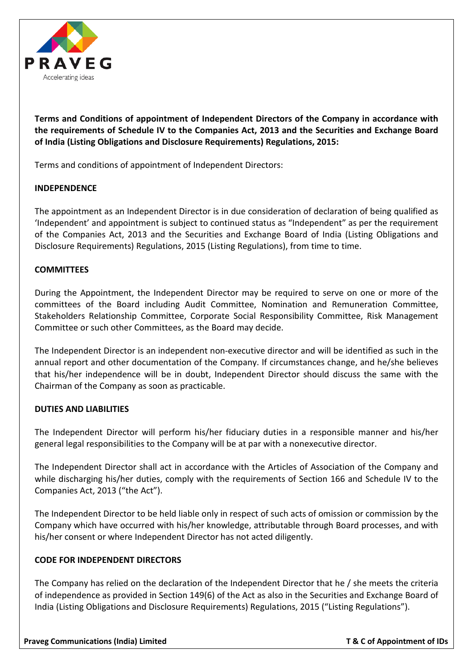

**Terms and Conditions of appointment of Independent Directors of the Company in accordance with the requirements of Schedule IV to the Companies Act, 2013 and the Securities and Exchange Board of India (Listing Obligations and Disclosure Requirements) Regulations, 2015:**

Terms and conditions of appointment of Independent Directors:

# **INDEPENDENCE**

The appointment as an Independent Director is in due consideration of declaration of being qualified as 'Independent' and appointment is subject to continued status as "Independent" as per the requirement of the Companies Act, 2013 and the Securities and Exchange Board of India (Listing Obligations and Disclosure Requirements) Regulations, 2015 (Listing Regulations), from time to time.

## **COMMITTEES**

During the Appointment, the Independent Director may be required to serve on one or more of the committees of the Board including Audit Committee, Nomination and Remuneration Committee, Stakeholders Relationship Committee, Corporate Social Responsibility Committee, Risk Management Committee or such other Committees, as the Board may decide.

The Independent Director is an independent non-executive director and will be identified as such in the annual report and other documentation of the Company. If circumstances change, and he/she believes that his/her independence will be in doubt, Independent Director should discuss the same with the Chairman of the Company as soon as practicable.

## **DUTIES AND LIABILITIES**

The Independent Director will perform his/her fiduciary duties in a responsible manner and his/her general legal responsibilities to the Company will be at par with a nonexecutive director.

The Independent Director shall act in accordance with the Articles of Association of the Company and while discharging his/her duties, comply with the requirements of Section 166 and Schedule IV to the Companies Act, 2013 ("the Act").

The Independent Director to be held liable only in respect of such acts of omission or commission by the Company which have occurred with his/her knowledge, attributable through Board processes, and with his/her consent or where Independent Director has not acted diligently.

## **CODE FOR INDEPENDENT DIRECTORS**

The Company has relied on the declaration of the Independent Director that he / she meets the criteria of independence as provided in Section 149(6) of the Act as also in the Securities and Exchange Board of India (Listing Obligations and Disclosure Requirements) Regulations, 2015 ("Listing Regulations").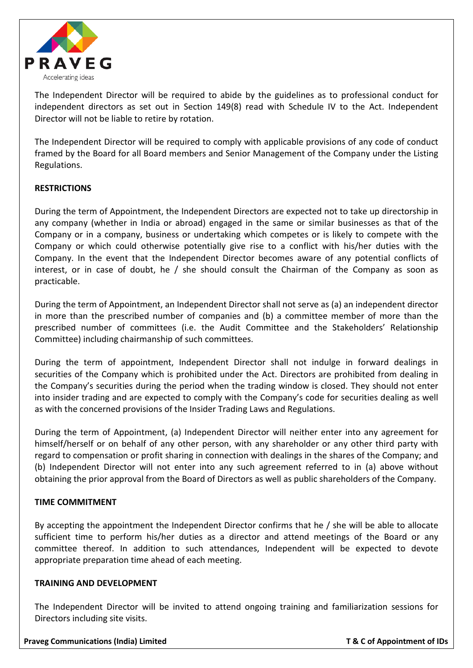

The Independent Director will be required to abide by the guidelines as to professional conduct for independent directors as set out in Section 149(8) read with Schedule IV to the Act. Independent Director will not be liable to retire by rotation.

The Independent Director will be required to comply with applicable provisions of any code of conduct framed by the Board for all Board members and Senior Management of the Company under the Listing Regulations.

# **RESTRICTIONS**

During the term of Appointment, the Independent Directors are expected not to take up directorship in any company (whether in India or abroad) engaged in the same or similar businesses as that of the Company or in a company, business or undertaking which competes or is likely to compete with the Company or which could otherwise potentially give rise to a conflict with his/her duties with the Company. In the event that the Independent Director becomes aware of any potential conflicts of interest, or in case of doubt, he / she should consult the Chairman of the Company as soon as practicable.

During the term of Appointment, an Independent Director shall not serve as (a) an independent director in more than the prescribed number of companies and (b) a committee member of more than the prescribed number of committees (i.e. the Audit Committee and the Stakeholders' Relationship Committee) including chairmanship of such committees.

During the term of appointment, Independent Director shall not indulge in forward dealings in securities of the Company which is prohibited under the Act. Directors are prohibited from dealing in the Company's securities during the period when the trading window is closed. They should not enter into insider trading and are expected to comply with the Company's code for securities dealing as well as with the concerned provisions of the Insider Trading Laws and Regulations.

During the term of Appointment, (a) Independent Director will neither enter into any agreement for himself/herself or on behalf of any other person, with any shareholder or any other third party with regard to compensation or profit sharing in connection with dealings in the shares of the Company; and (b) Independent Director will not enter into any such agreement referred to in (a) above without obtaining the prior approval from the Board of Directors as well as public shareholders of the Company.

## **TIME COMMITMENT**

By accepting the appointment the Independent Director confirms that he / she will be able to allocate sufficient time to perform his/her duties as a director and attend meetings of the Board or any committee thereof. In addition to such attendances, Independent will be expected to devote appropriate preparation time ahead of each meeting.

## **TRAINING AND DEVELOPMENT**

The Independent Director will be invited to attend ongoing training and familiarization sessions for Directors including site visits.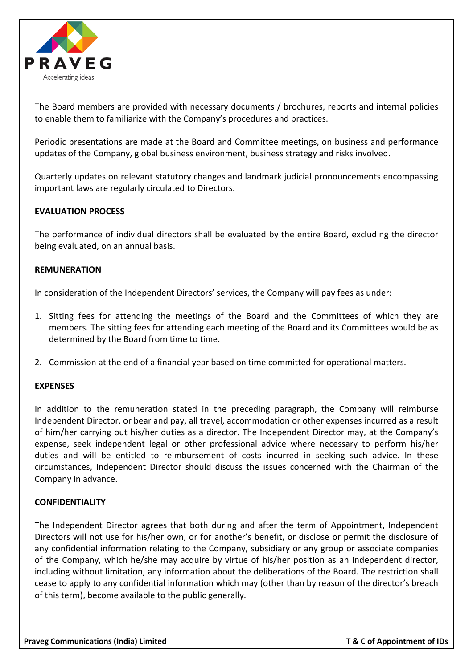

The Board members are provided with necessary documents / brochures, reports and internal policies to enable them to familiarize with the Company's procedures and practices.

Periodic presentations are made at the Board and Committee meetings, on business and performance updates of the Company, global business environment, business strategy and risks involved.

Quarterly updates on relevant statutory changes and landmark judicial pronouncements encompassing important laws are regularly circulated to Directors.

## **EVALUATION PROCESS**

The performance of individual directors shall be evaluated by the entire Board, excluding the director being evaluated, on an annual basis.

#### **REMUNERATION**

In consideration of the Independent Directors' services, the Company will pay fees as under:

- 1. Sitting fees for attending the meetings of the Board and the Committees of which they are members. The sitting fees for attending each meeting of the Board and its Committees would be as determined by the Board from time to time.
- 2. Commission at the end of a financial year based on time committed for operational matters.

#### **EXPENSES**

In addition to the remuneration stated in the preceding paragraph, the Company will reimburse Independent Director, or bear and pay, all travel, accommodation or other expenses incurred as a result of him/her carrying out his/her duties as a director. The Independent Director may, at the Company's expense, seek independent legal or other professional advice where necessary to perform his/her duties and will be entitled to reimbursement of costs incurred in seeking such advice. In these circumstances, Independent Director should discuss the issues concerned with the Chairman of the Company in advance.

#### **CONFIDENTIALITY**

The Independent Director agrees that both during and after the term of Appointment, Independent Directors will not use for his/her own, or for another's benefit, or disclose or permit the disclosure of any confidential information relating to the Company, subsidiary or any group or associate companies of the Company, which he/she may acquire by virtue of his/her position as an independent director, including without limitation, any information about the deliberations of the Board. The restriction shall cease to apply to any confidential information which may (other than by reason of the director's breach of this term), become available to the public generally.